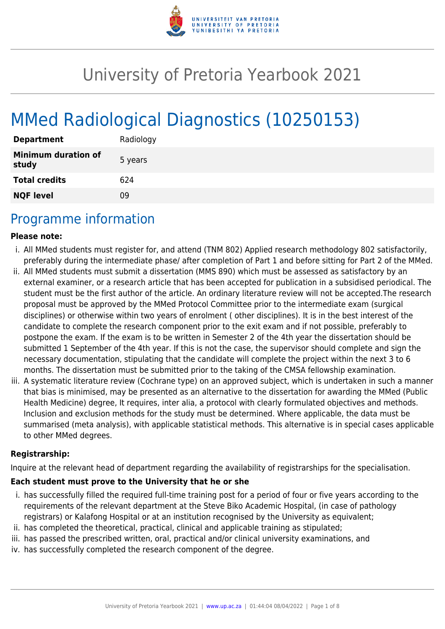

# University of Pretoria Yearbook 2021

# MMed Radiological Diagnostics (10250153)

| <b>Department</b>                   | Radiology |
|-------------------------------------|-----------|
| <b>Minimum duration of</b><br>study | 5 years   |
| <b>Total credits</b>                | 624       |
| <b>NQF level</b>                    | Ωd        |

## Programme information

#### **Please note:**

- i. All MMed students must register for, and attend (TNM 802) Applied research methodology 802 satisfactorily, preferably during the intermediate phase/ after completion of Part 1 and before sitting for Part 2 of the MMed.
- ii. All MMed students must submit a dissertation (MMS 890) which must be assessed as satisfactory by an external examiner, or a research article that has been accepted for publication in a subsidised periodical. The student must be the first author of the article. An ordinary literature review will not be accepted.The research proposal must be approved by the MMed Protocol Committee prior to the intermediate exam (surgical disciplines) or otherwise within two years of enrolment ( other disciplines). It is in the best interest of the candidate to complete the research component prior to the exit exam and if not possible, preferably to postpone the exam. If the exam is to be written in Semester 2 of the 4th year the dissertation should be submitted 1 September of the 4th year. If this is not the case, the supervisor should complete and sign the necessary documentation, stipulating that the candidate will complete the project within the next 3 to 6 months. The dissertation must be submitted prior to the taking of the CMSA fellowship examination.
- iii. A systematic literature review (Cochrane type) on an approved subject, which is undertaken in such a manner that bias is minimised, may be presented as an alternative to the dissertation for awarding the MMed (Public Health Medicine) degree, It requires, inter alia, a protocol with clearly formulated objectives and methods. Inclusion and exclusion methods for the study must be determined. Where applicable, the data must be summarised (meta analysis), with applicable statistical methods. This alternative is in special cases applicable to other MMed degrees.

#### **Registrarship:**

Inquire at the relevant head of department regarding the availability of registrarships for the specialisation.

#### **Each student must prove to the University that he or she**

- i. has successfully filled the required full-time training post for a period of four or five years according to the requirements of the relevant department at the Steve Biko Academic Hospital, (in case of pathology registrars) or Kalafong Hospital or at an institution recognised by the University as equivalent;
- ii. has completed the theoretical, practical, clinical and applicable training as stipulated;
- iii. has passed the prescribed written, oral, practical and/or clinical university examinations, and
- iv. has successfully completed the research component of the degree.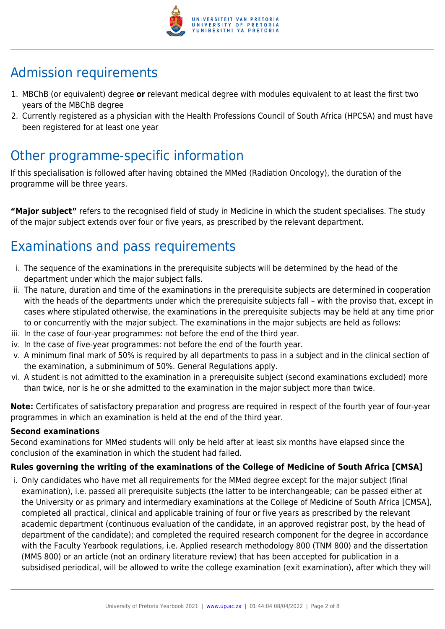

# Admission requirements

- 1. MBChB (or equivalent) degree **or** relevant medical degree with modules equivalent to at least the first two years of the MBChB degree
- 2. Currently registered as a physician with the Health Professions Council of South Africa (HPCSA) and must have been registered for at least one year

# Other programme-specific information

If this specialisation is followed after having obtained the MMed (Radiation Oncology), the duration of the programme will be three years.

**"Major subject"** refers to the recognised field of study in Medicine in which the student specialises. The study of the major subject extends over four or five years, as prescribed by the relevant department.

# Examinations and pass requirements

- i. The sequence of the examinations in the prerequisite subjects will be determined by the head of the department under which the major subject falls.
- ii. The nature, duration and time of the examinations in the prerequisite subjects are determined in cooperation with the heads of the departments under which the prerequisite subjects fall – with the proviso that, except in cases where stipulated otherwise, the examinations in the prerequisite subjects may be held at any time prior to or concurrently with the major subject. The examinations in the major subjects are held as follows:
- iii. In the case of four-year programmes: not before the end of the third year.
- iv. In the case of five-year programmes: not before the end of the fourth year.
- v. A minimum final mark of 50% is required by all departments to pass in a subject and in the clinical section of the examination, a subminimum of 50%. General Regulations apply.
- vi. A student is not admitted to the examination in a prerequisite subject (second examinations excluded) more than twice, nor is he or she admitted to the examination in the major subject more than twice.

**Note:** Certificates of satisfactory preparation and progress are required in respect of the fourth year of four-year programmes in which an examination is held at the end of the third year.

#### **Second examinations**

Second examinations for MMed students will only be held after at least six months have elapsed since the conclusion of the examination in which the student had failed.

#### **Rules governing the writing of the examinations of the College of Medicine of South Africa [CMSA]**

i. Only candidates who have met all requirements for the MMed degree except for the major subject (final examination), i.e. passed all prerequisite subjects (the latter to be interchangeable; can be passed either at the University or as primary and intermediary examinations at the College of Medicine of South Africa [CMSA], completed all practical, clinical and applicable training of four or five years as prescribed by the relevant academic department (continuous evaluation of the candidate, in an approved registrar post, by the head of department of the candidate); and completed the required research component for the degree in accordance with the Faculty Yearbook regulations, i.e. Applied research methodology 800 (TNM 800) and the dissertation (MMS 800) or an article (not an ordinary literature review) that has been accepted for publication in a subsidised periodical, will be allowed to write the college examination (exit examination), after which they will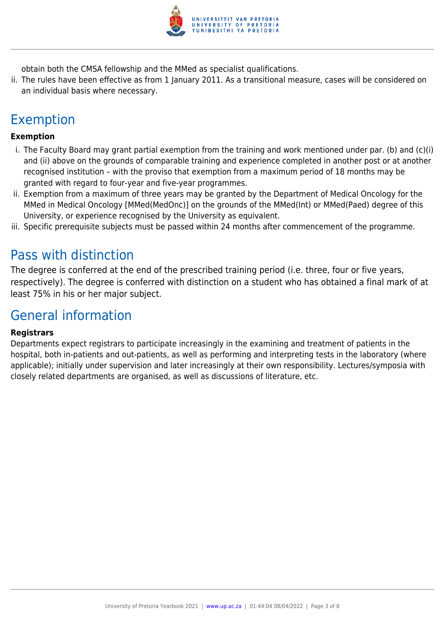

obtain both the CMSA fellowship and the MMed as specialist qualifications.

ii. The rules have been effective as from 1 January 2011. As a transitional measure, cases will be considered on an individual basis where necessary.

# Exemption

#### **Exemption**

- i. The Faculty Board may grant partial exemption from the training and work mentioned under par. (b) and (c)(i) and (ii) above on the grounds of comparable training and experience completed in another post or at another recognised institution – with the proviso that exemption from a maximum period of 18 months may be granted with regard to four-year and five-year programmes.
- ii. Exemption from a maximum of three years may be granted by the Department of Medical Oncology for the MMed in Medical Oncology [MMed(MedOnc)] on the grounds of the MMed(Int) or MMed(Paed) degree of this University, or experience recognised by the University as equivalent.
- iii. Specific prerequisite subjects must be passed within 24 months after commencement of the programme.

### Pass with distinction

The degree is conferred at the end of the prescribed training period (i.e. three, four or five years, respectively). The degree is conferred with distinction on a student who has obtained a final mark of at least 75% in his or her major subject.

### General information

#### **Registrars**

Departments expect registrars to participate increasingly in the examining and treatment of patients in the hospital, both in-patients and out-patients, as well as performing and interpreting tests in the laboratory (where applicable); initially under supervision and later increasingly at their own responsibility. Lectures/symposia with closely related departments are organised, as well as discussions of literature, etc.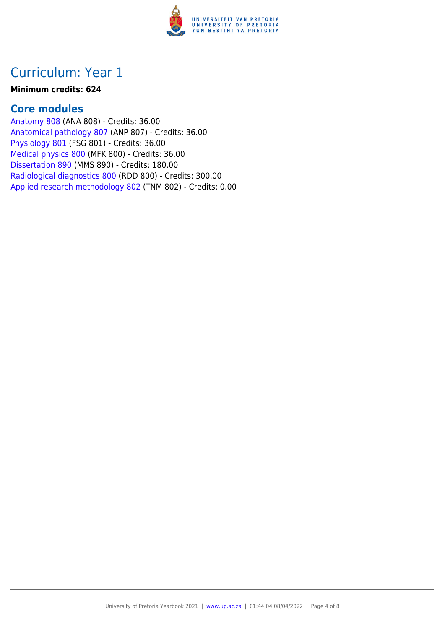

#### **Minimum credits: 624**

### **Core modules**

[Anatomy 808](https://www.up.ac.za/yearbooks/2021/modules/view/ANA 808) (ANA 808) - Credits: 36.00 [Anatomical pathology 807](https://www.up.ac.za/yearbooks/2021/modules/view/ANP 807) (ANP 807) - Credits: 36.00 [Physiology 801](https://www.up.ac.za/yearbooks/2021/modules/view/FSG 801) (FSG 801) - Credits: 36.00 [Medical physics 800](https://www.up.ac.za/yearbooks/2021/modules/view/MFK 800) (MFK 800) - Credits: 36.00 [Dissertation 890](https://www.up.ac.za/yearbooks/2021/modules/view/MMS 890) (MMS 890) - Credits: 180.00 [Radiological diagnostics 800](https://www.up.ac.za/yearbooks/2021/modules/view/RDD 800) (RDD 800) - Credits: 300.00 [Applied research methodology 802](https://www.up.ac.za/yearbooks/2021/modules/view/TNM 802) (TNM 802) - Credits: 0.00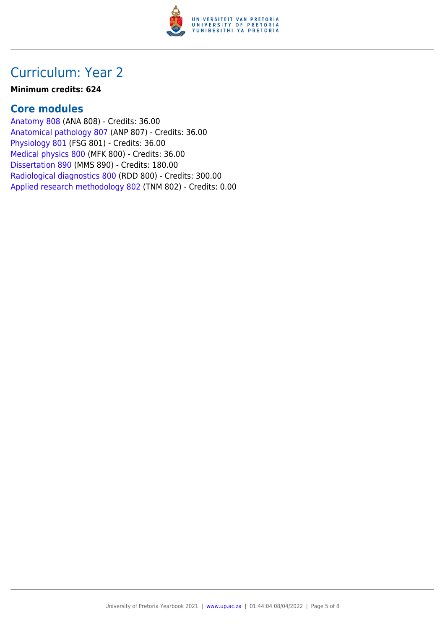

#### **Minimum credits: 624**

### **Core modules**

[Anatomy 808](https://www.up.ac.za/yearbooks/2021/modules/view/ANA 808) (ANA 808) - Credits: 36.00 [Anatomical pathology 807](https://www.up.ac.za/yearbooks/2021/modules/view/ANP 807) (ANP 807) - Credits: 36.00 [Physiology 801](https://www.up.ac.za/yearbooks/2021/modules/view/FSG 801) (FSG 801) - Credits: 36.00 [Medical physics 800](https://www.up.ac.za/yearbooks/2021/modules/view/MFK 800) (MFK 800) - Credits: 36.00 [Dissertation 890](https://www.up.ac.za/yearbooks/2021/modules/view/MMS 890) (MMS 890) - Credits: 180.00 [Radiological diagnostics 800](https://www.up.ac.za/yearbooks/2021/modules/view/RDD 800) (RDD 800) - Credits: 300.00 [Applied research methodology 802](https://www.up.ac.za/yearbooks/2021/modules/view/TNM 802) (TNM 802) - Credits: 0.00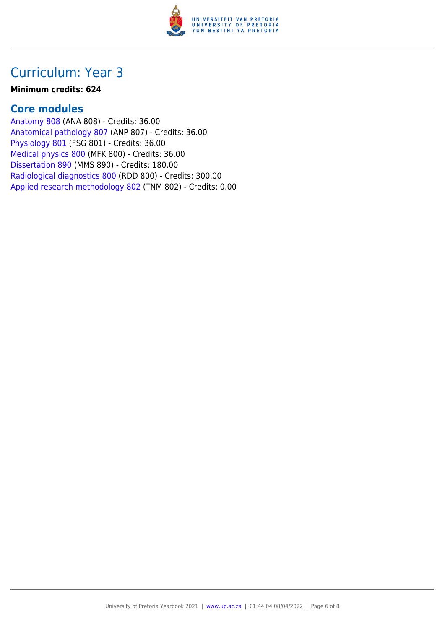

#### **Minimum credits: 624**

### **Core modules**

[Anatomy 808](https://www.up.ac.za/yearbooks/2021/modules/view/ANA 808) (ANA 808) - Credits: 36.00 [Anatomical pathology 807](https://www.up.ac.za/yearbooks/2021/modules/view/ANP 807) (ANP 807) - Credits: 36.00 [Physiology 801](https://www.up.ac.za/yearbooks/2021/modules/view/FSG 801) (FSG 801) - Credits: 36.00 [Medical physics 800](https://www.up.ac.za/yearbooks/2021/modules/view/MFK 800) (MFK 800) - Credits: 36.00 [Dissertation 890](https://www.up.ac.za/yearbooks/2021/modules/view/MMS 890) (MMS 890) - Credits: 180.00 [Radiological diagnostics 800](https://www.up.ac.za/yearbooks/2021/modules/view/RDD 800) (RDD 800) - Credits: 300.00 [Applied research methodology 802](https://www.up.ac.za/yearbooks/2021/modules/view/TNM 802) (TNM 802) - Credits: 0.00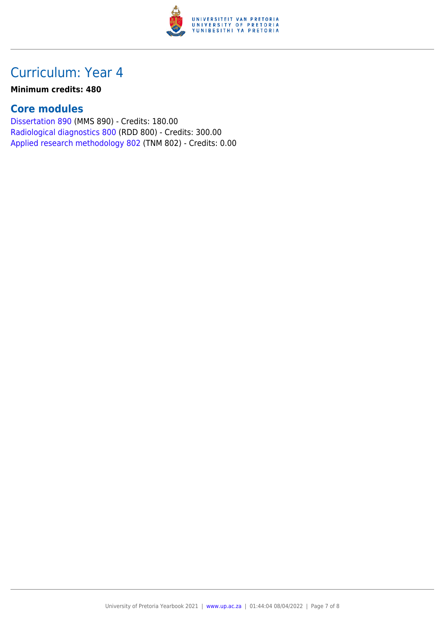

#### **Minimum credits: 480**

### **Core modules**

[Dissertation 890](https://www.up.ac.za/yearbooks/2021/modules/view/MMS 890) (MMS 890) - Credits: 180.00 [Radiological diagnostics 800](https://www.up.ac.za/yearbooks/2021/modules/view/RDD 800) (RDD 800) - Credits: 300.00 [Applied research methodology 802](https://www.up.ac.za/yearbooks/2021/modules/view/TNM 802) (TNM 802) - Credits: 0.00